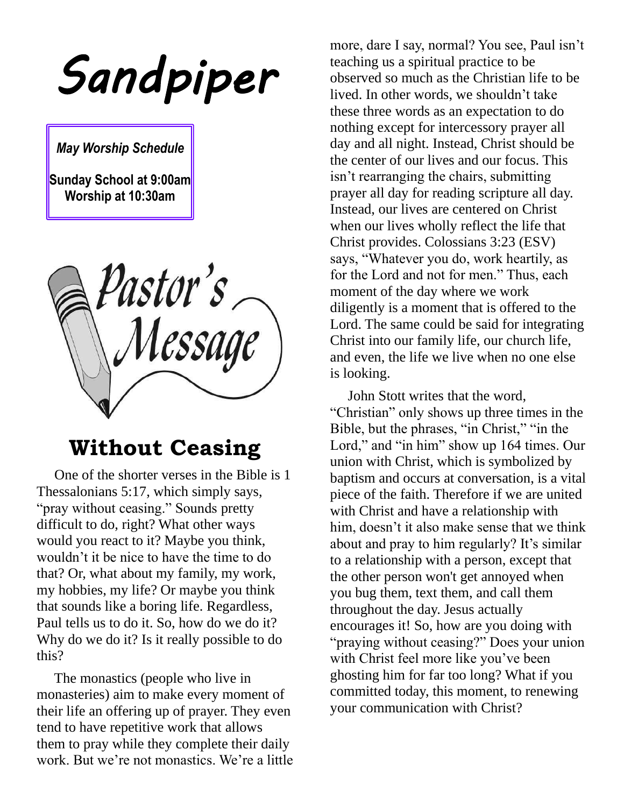*Sandpiper* 

*May Worship Schedule*

**Sunday School at 9:00am Worship at 10:30am**

pastor's<br>Message

### **Without Ceasing**

 One of the shorter verses in the Bible is 1 Thessalonians 5:17, which simply says, "pray without ceasing." Sounds pretty difficult to do, right? What other ways would you react to it? Maybe you think, wouldn't it be nice to have the time to do that? Or, what about my family, my work, my hobbies, my life? Or maybe you think that sounds like a boring life. Regardless, Paul tells us to do it. So, how do we do it? Why do we do it? Is it really possible to do this?

 The monastics (people who live in monasteries) aim to make every moment of their life an offering up of prayer. They even tend to have repetitive work that allows them to pray while they complete their daily work. But we're not monastics. We're a little

more, dare I say, normal? You see, Paul isn't teaching us a spiritual practice to be observed so much as the Christian life to be lived. In other words, we shouldn't take these three words as an expectation to do nothing except for intercessory prayer all day and all night. Instead, Christ should be the center of our lives and our focus. This isn't rearranging the chairs, submitting prayer all day for reading scripture all day. Instead, our lives are centered on Christ when our lives wholly reflect the life that Christ provides. Colossians 3:23 (ESV) says, "Whatever you do, work heartily, as for the Lord and not for men." Thus, each moment of the day where we work diligently is a moment that is offered to the Lord. The same could be said for integrating Christ into our family life, our church life, and even, the life we live when no one else is looking.

 John Stott writes that the word, "Christian" only shows up three times in the Bible, but the phrases, "in Christ," "in the Lord," and "in him" show up 164 times. Our union with Christ, which is symbolized by baptism and occurs at conversation, is a vital piece of the faith. Therefore if we are united with Christ and have a relationship with him, doesn't it also make sense that we think about and pray to him regularly? It's similar to a relationship with a person, except that the other person won't get annoyed when you bug them, text them, and call them throughout the day. Jesus actually encourages it! So, how are you doing with "praying without ceasing?" Does your union with Christ feel more like you've been ghosting him for far too long? What if you committed today, this moment, to renewing your communication with Christ?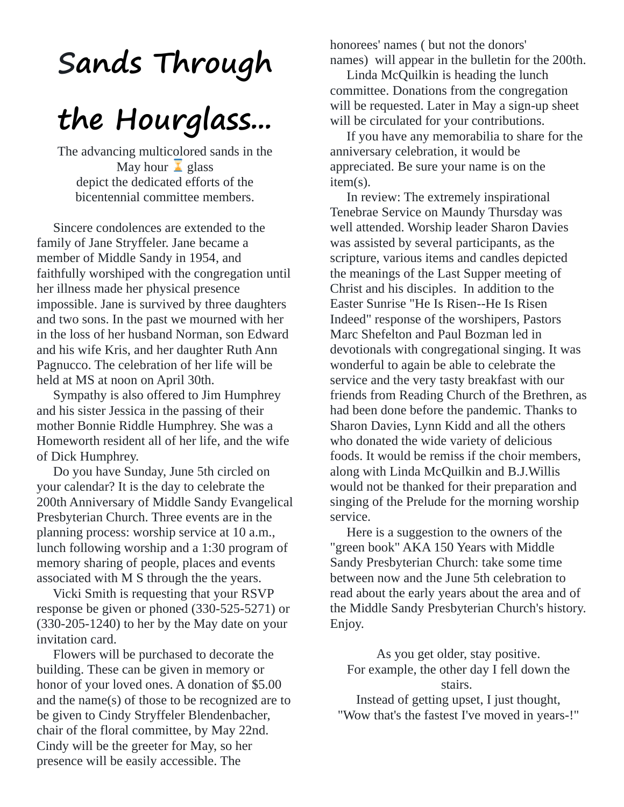# **Sands Through**

# **the Hourglass...**

The advancing multicolored sands in the May hour  $\overline{\mathbf{A}}$  glass depict the dedicated efforts of the bicentennial committee members.

 Sincere condolences are extended to the family of Jane Stryffeler. Jane became a member of Middle Sandy in 1954, and faithfully worshiped with the congregation until her illness made her physical presence impossible. Jane is survived by three daughters and two sons. In the past we mourned with her in the loss of her husband Norman, son Edward and his wife Kris, and her daughter Ruth Ann Pagnucco. The celebration of her life will be held at MS at noon on April 30th.

 Sympathy is also offered to Jim Humphrey and his sister Jessica in the passing of their mother Bonnie Riddle Humphrey. She was a Homeworth resident all of her life, and the wife of Dick Humphrey.

 Do you have Sunday, June 5th circled on your calendar? It is the day to celebrate the 200th Anniversary of Middle Sandy Evangelical Presbyterian Church. Three events are in the planning process: worship service at 10 a.m., lunch following worship and a 1:30 program of memory sharing of people, places and events associated with M S through the the years.

 Vicki Smith is requesting that your RSVP response be given or phoned (330-525-5271) or (330-205-1240) to her by the May date on your invitation card.

 Flowers will be purchased to decorate the building. These can be given in memory or honor of your loved ones. A donation of \$5.00 and the name(s) of those to be recognized are to be given to Cindy Stryffeler Blendenbacher, chair of the floral committee, by May 22nd. Cindy will be the greeter for May, so her presence will be easily accessible. The

honorees' names ( but not the donors' names) will appear in the bulletin for the 200th.

 Linda McQuilkin is heading the lunch committee. Donations from the congregation will be requested. Later in May a sign-up sheet will be circulated for your contributions.

 If you have any memorabilia to share for the anniversary celebration, it would be appreciated. Be sure your name is on the item(s).

 In review: The extremely inspirational Tenebrae Service on Maundy Thursday was well attended. Worship leader Sharon Davies was assisted by several participants, as the scripture, various items and candles depicted the meanings of the Last Supper meeting of Christ and his disciples. In addition to the Easter Sunrise "He Is Risen--He Is Risen Indeed" response of the worshipers, Pastors Marc Shefelton and Paul Bozman led in devotionals with congregational singing. It was wonderful to again be able to celebrate the service and the very tasty breakfast with our friends from Reading Church of the Brethren, as had been done before the pandemic. Thanks to Sharon Davies, Lynn Kidd and all the others who donated the wide variety of delicious foods. It would be remiss if the choir members, along with Linda McQuilkin and B.J.Willis would not be thanked for their preparation and singing of the Prelude for the morning worship service.

 Here is a suggestion to the owners of the "green book" AKA 150 Years with Middle Sandy Presbyterian Church: take some time between now and the June 5th celebration to read about the early years about the area and of the Middle Sandy Presbyterian Church's history. Enjoy.

As you get older, stay positive. For example, the other day I fell down the stairs.

Instead of getting upset, I just thought, "Wow that's the fastest I've moved in years-!"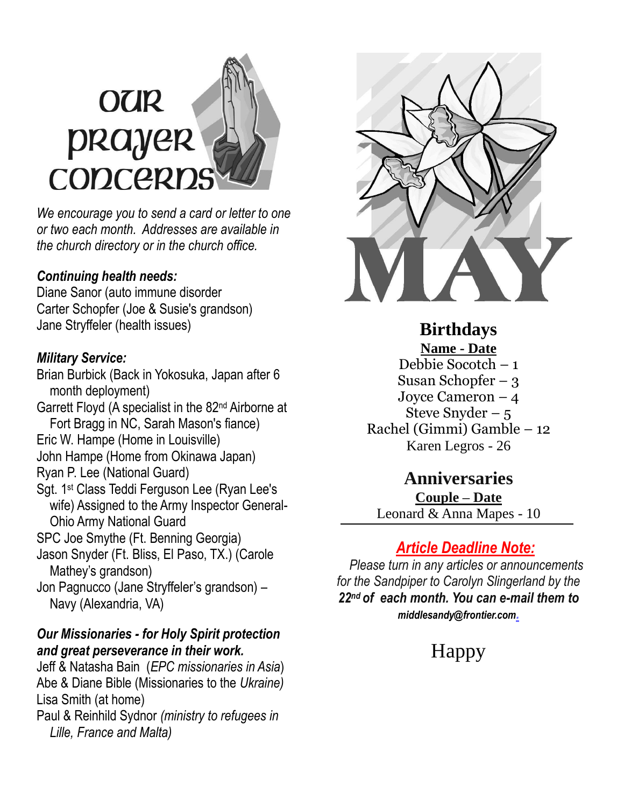# **OUR** prayer CODCERD

*We encourage you to send a card or letter to one or two each month. Addresses are available in the church directory or in the church office.*

#### *Continuing health needs:*

Diane Sanor (auto immune disorder Carter Schopfer (Joe & Susie's grandson) Jane Stryffeler (health issues)

#### *Military Service:*

Brian Burbick (Back in Yokosuka, Japan after 6 month deployment) Garrett Floyd (A specialist in the 82nd Airborne at Fort Bragg in NC, Sarah Mason's fiance) Eric W. Hampe (Home in Louisville) John Hampe (Home from Okinawa Japan) Ryan P. Lee (National Guard) Sgt. 1st Class Teddi Ferguson Lee (Ryan Lee's wife) Assigned to the Army Inspector General- Ohio Army National Guard SPC Joe Smythe (Ft. Benning Georgia) Jason Snyder (Ft. Bliss, El Paso, TX.) (Carole Mathey's grandson) Jon Pagnucco (Jane Stryffeler's grandson) – Navy (Alexandria, VA)

#### *Our Missionaries - for Holy Spirit protection and great perseverance in their work.*

Jeff & Natasha Bain (*EPC missionaries in Asia*) Abe & Diane Bible (Missionaries to the *Ukraine)* Lisa Smith (at home) Paul & Reinhild Sydnor *(ministry to refugees in Lille, France and Malta)*



**Birthdays Name - Date** Debbie Socotch – 1 Susan Schopfer – 3 Joyce Cameron – 4 Steve Snyder  $-5$ Rachel (Gimmi) Gamble – 12 Karen Legros - 26

#### **Anniversaries**

**Couple – Date** Leonard & Anna Mapes - 10

#### *Article Deadline Note:*

 *Please turn in any articles or announcements for the Sandpiper to Carolyn Slingerland by the 22nd of each month. You can e-mail them to [middlesandy@frontier.com](mailto:middlesandy@frontier.com).*

## Happy